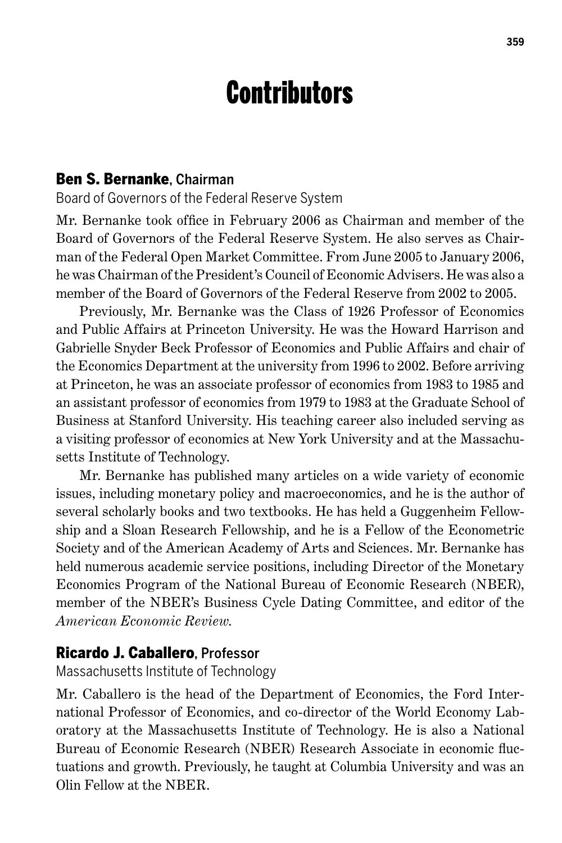# **Contributors**

#### Ben S. Bernanke, Chairman

Board of Governors of the Federal Reserve System

Mr. Bernanke took office in February 2006 as Chairman and member of the Board of Governors of the Federal Reserve System. He also serves as Chairman of the Federal Open Market Committee. From June 2005 to January 2006, he was Chairman of the President's Council of Economic Advisers. He was also a member of the Board of Governors of the Federal Reserve from 2002 to 2005.

Previously, Mr. Bernanke was the Class of 1926 Professor of Economics and Public Affairs at Princeton University. He was the Howard Harrison and Gabrielle Snyder Beck Professor of Economics and Public Affairs and chair of the Economics Department at the university from 1996 to 2002. Before arriving at Princeton, he was an associate professor of economics from 1983 to 1985 and an assistant professor of economics from 1979 to 1983 at the Graduate School of Business at Stanford University. His teaching career also included serving as a visiting professor of economics at New York University and at the Massachusetts Institute of Technology.

Mr. Bernanke has published many articles on a wide variety of economic issues, including monetary policy and macroeconomics, and he is the author of several scholarly books and two textbooks. He has held a Guggenheim Fellowship and a Sloan Research Fellowship, and he is a Fellow of the Econometric Society and of the American Academy of Arts and Sciences. Mr. Bernanke has held numerous academic service positions, including Director of the Monetary Economics Program of the National Bureau of Economic Research (NBER), member of the NBER's Business Cycle Dating Committee, and editor of the *American Economic Review*.

#### Ricardo J. Caballero, Professor

Massachusetts Institute of Technology

Mr. Caballero is the head of the Department of Economics, the Ford International Professor of Economics, and co-director of the World Economy Laboratory at the Massachusetts Institute of Technology. He is also a National Bureau of Economic Research (NBER) Research Associate in economic fluctuations and growth. Previously, he taught at Columbia University and was an Olin Fellow at the NBER.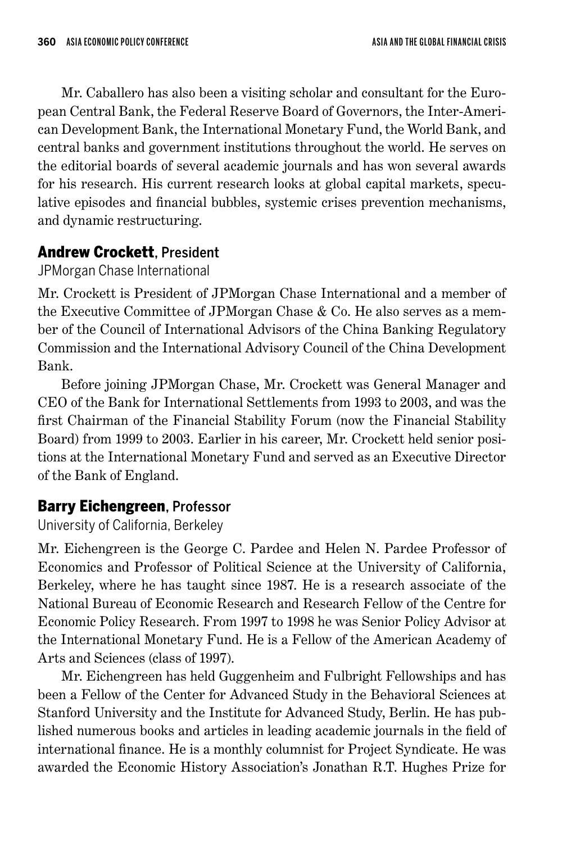Mr. Caballero has also been a visiting scholar and consultant for the European Central Bank, the Federal Reserve Board of Governors, the Inter-American Development Bank, the International Monetary Fund, the World Bank, and central banks and government institutions throughout the world. He serves on the editorial boards of several academic journals and has won several awards for his research. His current research looks at global capital markets, speculative episodes and financial bubbles, systemic crises prevention mechanisms, and dynamic restructuring.

# Andrew Crockett, President

JPMorgan Chase International

Mr. Crockett is President of JPMorgan Chase International and a member of the Executive Committee of JPMorgan Chase & Co. He also serves as a member of the Council of International Advisors of the China Banking Regulatory Commission and the International Advisory Council of the China Development Bank.

Before joining JPMorgan Chase, Mr. Crockett was General Manager and CEO of the Bank for International Settlements from 1993 to 2003, and was the first Chairman of the Financial Stability Forum (now the Financial Stability Board) from 1999 to 2003. Earlier in his career, Mr. Crockett held senior positions at the International Monetary Fund and served as an Executive Director of the Bank of England.

# Barry Eichengreen, Professor

University of California, Berkeley

Mr. Eichengreen is the George C. Pardee and Helen N. Pardee Professor of Economics and Professor of Political Science at the University of California, Berkeley, where he has taught since 1987. He is a research associate of the National Bureau of Economic Research and Research Fellow of the Centre for Economic Policy Research. From 1997 to 1998 he was Senior Policy Advisor at the International Monetary Fund. He is a Fellow of the American Academy of Arts and Sciences (class of 1997).

Mr. Eichengreen has held Guggenheim and Fulbright Fellowships and has been a Fellow of the Center for Advanced Study in the Behavioral Sciences at Stanford University and the Institute for Advanced Study, Berlin. He has published numerous books and articles in leading academic journals in the field of international finance. He is a monthly columnist for Project Syndicate. He was awarded the Economic History Association's Jonathan R.T. Hughes Prize for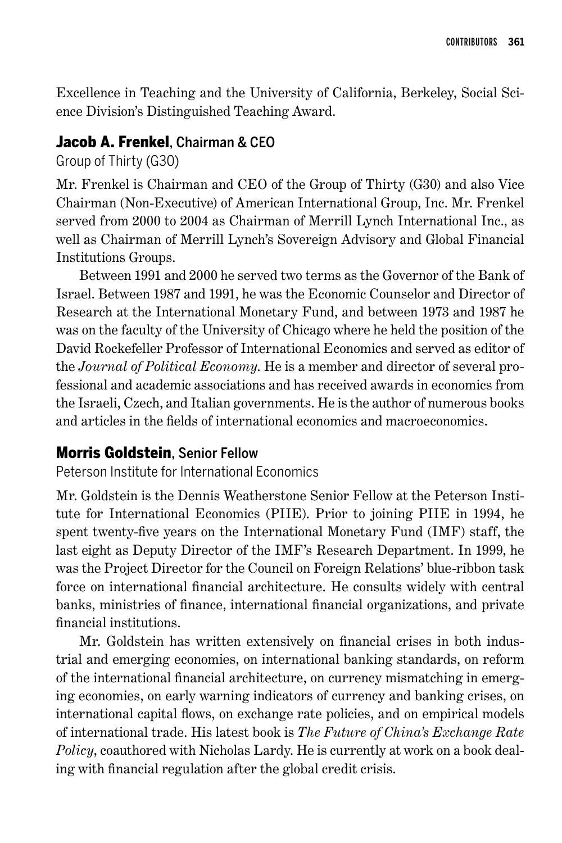Excellence in Teaching and the University of California, Berkeley, Social Science Division's Distinguished Teaching Award.

#### Jacob A. Frenkel, Chairman & CEO

Group of Thirty (G30)

Mr. Frenkel is Chairman and CEO of the Group of Thirty (G30) and also Vice Chairman (Non-Executive) of American International Group, Inc. Mr. Frenkel served from 2000 to 2004 as Chairman of Merrill Lynch International Inc., as well as Chairman of Merrill Lynch's Sovereign Advisory and Global Financial Institutions Groups.

Between 1991 and 2000 he served two terms as the Governor of the Bank of Israel. Between 1987 and 1991, he was the Economic Counselor and Director of Research at the International Monetary Fund, and between 1973 and 1987 he was on the faculty of the University of Chicago where he held the position of the David Rockefeller Professor of International Economics and served as editor of the *Journal of Political Economy*. He is a member and director of several professional and academic associations and has received awards in economics from the Israeli, Czech, and Italian governments. He is the author of numerous books and articles in the fields of international economics and macroeconomics.

#### Morris Goldstein, Senior Fellow

Peterson Institute for International Economics

Mr. Goldstein is the Dennis Weatherstone Senior Fellow at the Peterson Institute for International Economics (PIIE). Prior to joining PIIE in 1994, he spent twenty-five years on the International Monetary Fund (IMF) staff, the last eight as Deputy Director of the IMF's Research Department. In 1999, he was the Project Director for the Council on Foreign Relations' blue-ribbon task force on international financial architecture. He consults widely with central banks, ministries of finance, international financial organizations, and private financial institutions.

Mr. Goldstein has written extensively on financial crises in both industrial and emerging economies, on international banking standards, on reform of the international financial architecture, on currency mismatching in emerging economies, on early warning indicators of currency and banking crises, on international capital flows, on exchange rate policies, and on empirical models of international trade. His latest book is *The Future of China's Exchange Rate Policy*, coauthored with Nicholas Lardy. He is currently at work on a book dealing with financial regulation after the global credit crisis.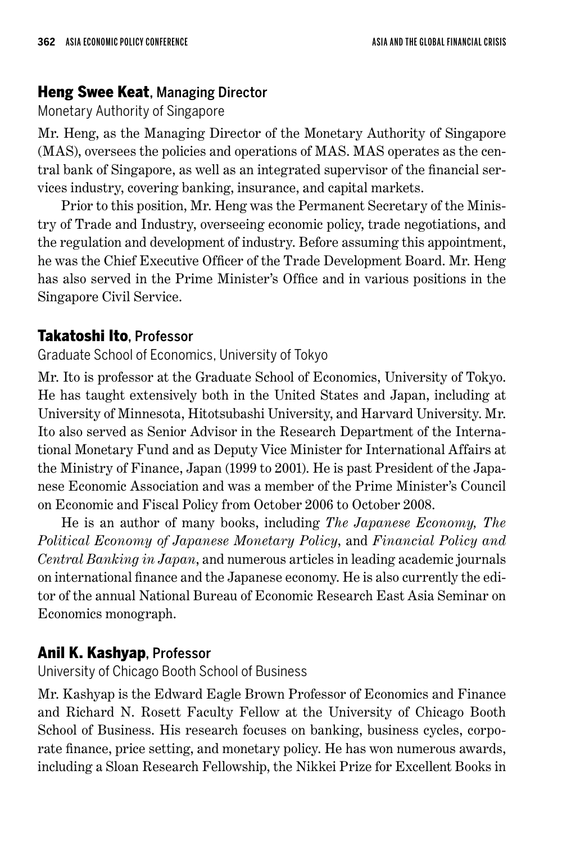## **Heng Swee Keat, Managing Director**

# Monetary Authority of Singapore

Mr. Heng, as the Managing Director of the Monetary Authority of Singapore (MAS), oversees the policies and operations of MAS. MAS operates as the central bank of Singapore, as well as an integrated supervisor of the financial services industry, covering banking, insurance, and capital markets.

Prior to this position, Mr. Heng was the Permanent Secretary of the Ministry of Trade and Industry, overseeing economic policy, trade negotiations, and the regulation and development of industry. Before assuming this appointment, he was the Chief Executive Officer of the Trade Development Board. Mr. Heng has also served in the Prime Minister's Office and in various positions in the Singapore Civil Service.

# Takatoshi Ito, Professor

Graduate School of Economics, University of Tokyo

Mr. Ito is professor at the Graduate School of Economics, University of Tokyo. He has taught extensively both in the United States and Japan, including at University of Minnesota, Hitotsubashi University, and Harvard University. Mr. Ito also served as Senior Advisor in the Research Department of the International Monetary Fund and as Deputy Vice Minister for International Affairs at the Ministry of Finance, Japan (1999 to 2001). He is past President of the Japanese Economic Association and was a member of the Prime Minister's Council on Economic and Fiscal Policy from October 2006 to October 2008.

He is an author of many books, including *The Japanese Economy, The Political Economy of Japanese Monetary Policy*, and *Financial Policy and Central Banking in Japan*, and numerous articles in leading academic journals on international finance and the Japanese economy. He is also currently the editor of the annual National Bureau of Economic Research East Asia Seminar on Economics monograph.

# Anil K. Kashyap, Professor

University of Chicago Booth School of Business

Mr. Kashyap is the Edward Eagle Brown Professor of Economics and Finance and Richard N. Rosett Faculty Fellow at the University of Chicago Booth School of Business. His research focuses on banking, business cycles, corporate finance, price setting, and monetary policy. He has won numerous awards, including a Sloan Research Fellowship, the Nikkei Prize for Excellent Books in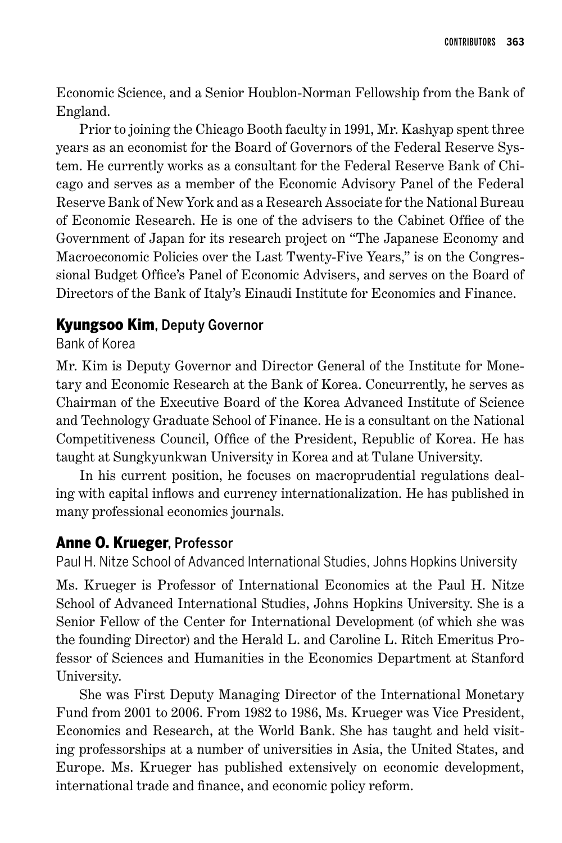Economic Science, and a Senior Houblon-Norman Fellowship from the Bank of England.

Prior to joining the Chicago Booth faculty in 1991, Mr. Kashyap spent three years as an economist for the Board of Governors of the Federal Reserve System. He currently works as a consultant for the Federal Reserve Bank of Chicago and serves as a member of the Economic Advisory Panel of the Federal Reserve Bank of New York and as a Research Associate for the National Bureau of Economic Research. He is one of the advisers to the Cabinet Office of the Government of Japan for its research project on "The Japanese Economy and Macroeconomic Policies over the Last Twenty-Five Years," is on the Congressional Budget Office's Panel of Economic Advisers, and serves on the Board of Directors of the Bank of Italy's Einaudi Institute for Economics and Finance.

### Kyungsoo Kim, Deputy Governor

#### Bank of Korea

Mr. Kim is Deputy Governor and Director General of the Institute for Monetary and Economic Research at the Bank of Korea. Concurrently, he serves as Chairman of the Executive Board of the Korea Advanced Institute of Science and Technology Graduate School of Finance. He is a consultant on the National Competitiveness Council, Office of the President, Republic of Korea. He has taught at Sungkyunkwan University in Korea and at Tulane University.

In his current position, he focuses on macroprudential regulations dealing with capital inflows and currency internationalization. He has published in many professional economics journals.

## Anne O. Krueger, Professor

Paul H. Nitze School of Advanced International Studies, Johns Hopkins University

Ms. Krueger is Professor of International Economics at the Paul H. Nitze School of Advanced International Studies, Johns Hopkins University. She is a Senior Fellow of the Center for International Development (of which she was the founding Director) and the Herald L. and Caroline L. Ritch Emeritus Professor of Sciences and Humanities in the Economics Department at Stanford University.

She was First Deputy Managing Director of the International Monetary Fund from 2001 to 2006. From 1982 to 1986, Ms. Krueger was Vice President, Economics and Research, at the World Bank. She has taught and held visiting professorships at a number of universities in Asia, the United States, and Europe. Ms. Krueger has published extensively on economic development, international trade and finance, and economic policy reform.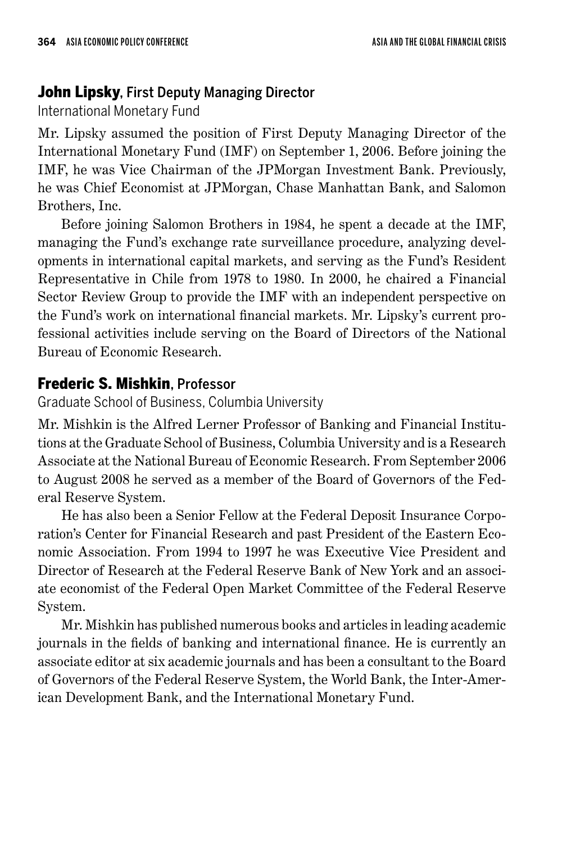## **John Lipsky**, First Deputy Managing Director

### International Monetary Fund

Mr. Lipsky assumed the position of First Deputy Managing Director of the International Monetary Fund (IMF) on September 1, 2006. Before joining the IMF, he was Vice Chairman of the JPMorgan Investment Bank. Previously, he was Chief Economist at JPMorgan, Chase Manhattan Bank, and Salomon Brothers, Inc.

Before joining Salomon Brothers in 1984, he spent a decade at the IMF, managing the Fund's exchange rate surveillance procedure, analyzing developments in international capital markets, and serving as the Fund's Resident Representative in Chile from 1978 to 1980. In 2000, he chaired a Financial Sector Review Group to provide the IMF with an independent perspective on the Fund's work on international financial markets. Mr. Lipsky's current professional activities include serving on the Board of Directors of the National Bureau of Economic Research.

# Frederic S. Mishkin, Professor

Graduate School of Business, Columbia University

Mr. Mishkin is the Alfred Lerner Professor of Banking and Financial Institutions at the Graduate School of Business, Columbia University and is a Research Associate at the National Bureau of Economic Research. From September 2006 to August 2008 he served as a member of the Board of Governors of the Federal Reserve System.

He has also been a Senior Fellow at the Federal Deposit Insurance Corporation's Center for Financial Research and past President of the Eastern Economic Association. From 1994 to 1997 he was Executive Vice President and Director of Research at the Federal Reserve Bank of New York and an associate economist of the Federal Open Market Committee of the Federal Reserve System.

Mr. Mishkin has published numerous books and articles in leading academic journals in the fields of banking and international finance. He is currently an associate editor at six academic journals and has been a consultant to the Board of Governors of the Federal Reserve System, the World Bank, the Inter-American Development Bank, and the International Monetary Fund.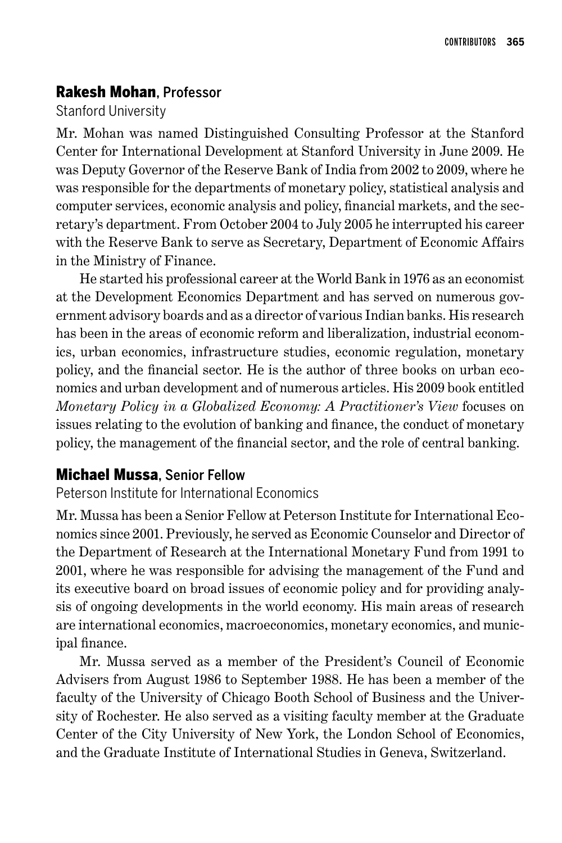# Rakesh Mohan, Professor

## Stanford University

Mr. Mohan was named Distinguished Consulting Professor at the Stanford Center for International Development at Stanford University in June 2009. He was Deputy Governor of the Reserve Bank of India from 2002 to 2009, where he was responsible for the departments of monetary policy, statistical analysis and computer services, economic analysis and policy, financial markets, and the secretary's department. From October 2004 to July 2005 he interrupted his career with the Reserve Bank to serve as Secretary, Department of Economic Affairs in the Ministry of Finance.

He started his professional career at the World Bank in 1976 as an economist at the Development Economics Department and has served on numerous government advisory boards and as a director of various Indian banks. His research has been in the areas of economic reform and liberalization, industrial economics, urban economics, infrastructure studies, economic regulation, monetary policy, and the financial sector. He is the author of three books on urban economics and urban development and of numerous articles. His 2009 book entitled *Monetary Policy in a Globalized Economy: A Practitioner's View* focuses on issues relating to the evolution of banking and finance, the conduct of monetary policy, the management of the financial sector, and the role of central banking.

# Michael Mussa, Senior Fellow

## Peterson Institute for International Economics

Mr. Mussa has been a Senior Fellow at Peterson Institute for International Economics since 2001. Previously, he served as Economic Counselor and Director of the Department of Research at the International Monetary Fund from 1991 to 2001, where he was responsible for advising the management of the Fund and its executive board on broad issues of economic policy and for providing analysis of ongoing developments in the world economy. His main areas of research are international economics, macroeconomics, monetary economics, and municipal finance.

Mr. Mussa served as a member of the President's Council of Economic Advisers from August 1986 to September 1988. He has been a member of the faculty of the University of Chicago Booth School of Business and the University of Rochester. He also served as a visiting faculty member at the Graduate Center of the City University of New York, the London School of Economics, and the Graduate Institute of International Studies in Geneva, Switzerland.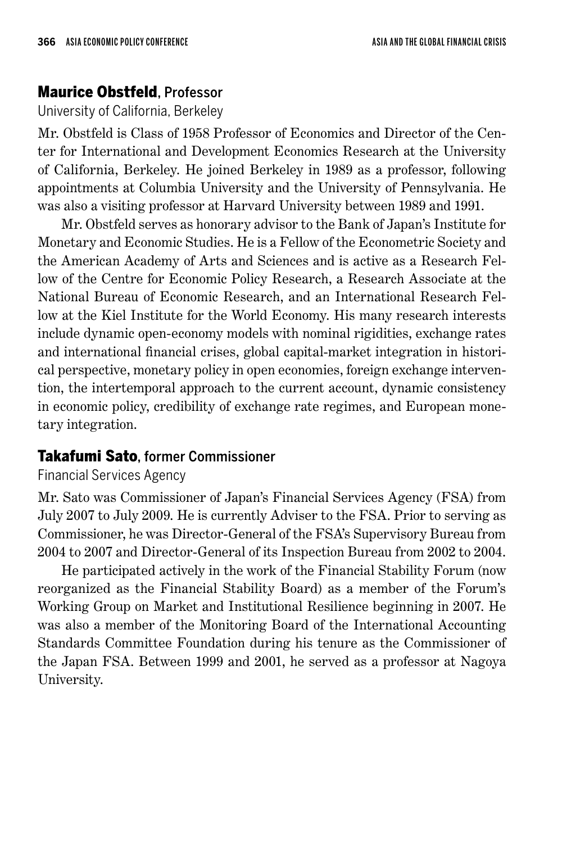### Maurice Obstfeld, Professor

University of California, Berkeley

Mr. Obstfeld is Class of 1958 Professor of Economics and Director of the Center for International and Development Economics Research at the University of California, Berkeley. He joined Berkeley in 1989 as a professor, following appointments at Columbia University and the University of Pennsylvania. He was also a visiting professor at Harvard University between 1989 and 1991.

Mr. Obstfeld serves as honorary advisor to the Bank of Japan's Institute for Monetary and Economic Studies. He is a Fellow of the Econometric Society and the American Academy of Arts and Sciences and is active as a Research Fellow of the Centre for Economic Policy Research, a Research Associate at the National Bureau of Economic Research, and an International Research Fellow at the Kiel Institute for the World Economy. His many research interests include dynamic open-economy models with nominal rigidities, exchange rates and international financial crises, global capital-market integration in historical perspective, monetary policy in open economies, foreign exchange intervention, the intertemporal approach to the current account, dynamic consistency in economic policy, credibility of exchange rate regimes, and European monetary integration.

#### Takafumi Sato, former Commissioner

Financial Services Agency

Mr. Sato was Commissioner of Japan's Financial Services Agency (FSA) from July 2007 to July 2009. He is currently Adviser to the FSA. Prior to serving as Commissioner, he was Director-General of the FSA's Supervisory Bureau from 2004 to 2007 and Director-General of its Inspection Bureau from 2002 to 2004.

He participated actively in the work of the Financial Stability Forum (now reorganized as the Financial Stability Board) as a member of the Forum's Working Group on Market and Institutional Resilience beginning in 2007. He was also a member of the Monitoring Board of the International Accounting Standards Committee Foundation during his tenure as the Commissioner of the Japan FSA. Between 1999 and 2001, he served as a professor at Nagoya University.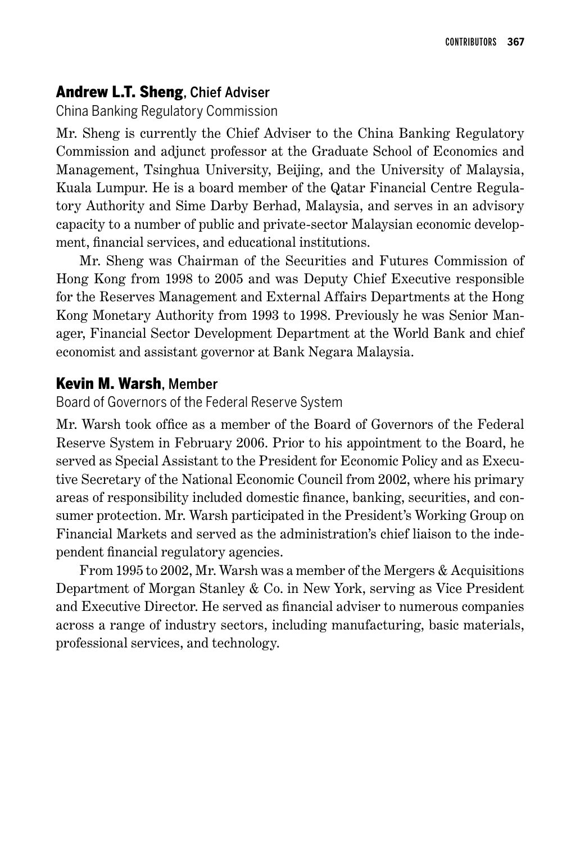## Andrew L.T. Sheng, Chief Adviser

China Banking Regulatory Commission

Mr. Sheng is currently the Chief Adviser to the China Banking Regulatory Commission and adjunct professor at the Graduate School of Economics and Management, Tsinghua University, Beijing, and the University of Malaysia, Kuala Lumpur. He is a board member of the Qatar Financial Centre Regulatory Authority and Sime Darby Berhad, Malaysia, and serves in an advisory capacity to a number of public and private-sector Malaysian economic development, financial services, and educational institutions.

Mr. Sheng was Chairman of the Securities and Futures Commission of Hong Kong from 1998 to 2005 and was Deputy Chief Executive responsible for the Reserves Management and External Affairs Departments at the Hong Kong Monetary Authority from 1993 to 1998. Previously he was Senior Manager, Financial Sector Development Department at the World Bank and chief economist and assistant governor at Bank Negara Malaysia.

# Kevin M. Warsh, Member

Board of Governors of the Federal Reserve System

Mr. Warsh took office as a member of the Board of Governors of the Federal Reserve System in February 2006. Prior to his appointment to the Board, he served as Special Assistant to the President for Economic Policy and as Executive Secretary of the National Economic Council from 2002, where his primary areas of responsibility included domestic finance, banking, securities, and consumer protection. Mr. Warsh participated in the President's Working Group on Financial Markets and served as the administration's chief liaison to the independent financial regulatory agencies.

From 1995 to 2002, Mr. Warsh was a member of the Mergers & Acquisitions Department of Morgan Stanley & Co. in New York, serving as Vice President and Executive Director. He served as financial adviser to numerous companies across a range of industry sectors, including manufacturing, basic materials, professional services, and technology.